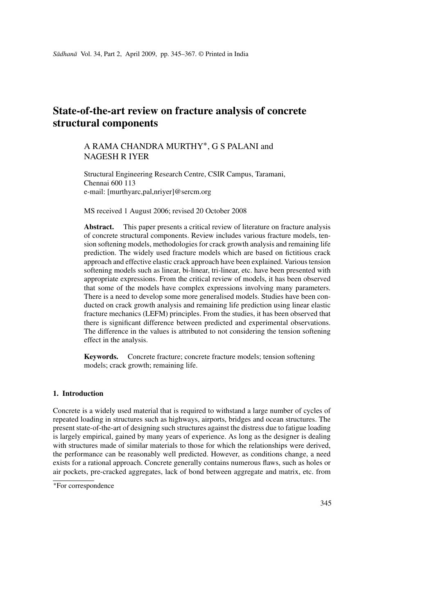# **State-of-the-art review on fracture analysis of concrete structural components**

## A RAMA CHANDRA MURTHY∗,GSPALANI and NAGESH R IYER

Structural Engineering Research Centre, CSIR Campus, Taramani, Chennai 600 113 e-mail: [murthyarc,pal,nriyer]@sercm.org

MS received 1 August 2006; revised 20 October 2008

**Abstract.** This paper presents a critical review of literature on fracture analysis of concrete structural components. Review includes various fracture models, tension softening models, methodologies for crack growth analysis and remaining life prediction. The widely used fracture models which are based on fictitious crack approach and effective elastic crack approach have been explained. Various tension softening models such as linear, bi-linear, tri-linear, etc. have been presented with appropriate expressions. From the critical review of models, it has been observed that some of the models have complex expressions involving many parameters. There is a need to develop some more generalised models. Studies have been conducted on crack growth analysis and remaining life prediction using linear elastic fracture mechanics (LEFM) principles. From the studies, it has been observed that there is significant difference between predicted and experimental observations. The difference in the values is attributed to not considering the tension softening effect in the analysis.

**Keywords.** Concrete fracture; concrete fracture models; tension softening models; crack growth; remaining life.

## **1. Introduction**

Concrete is a widely used material that is required to withstand a large number of cycles of repeated loading in structures such as highways, airports, bridges and ocean structures. The present state-of-the-art of designing such structures against the distress due to fatigue loading is largely empirical, gained by many years of experience. As long as the designer is dealing with structures made of similar materials to those for which the relationships were derived, the performance can be reasonably well predicted. However, as conditions change, a need exists for a rational approach. Concrete generally contains numerous flaws, such as holes or air pockets, pre-cracked aggregates, lack of bond between aggregate and matrix, etc. from

<sup>∗</sup>For correspondence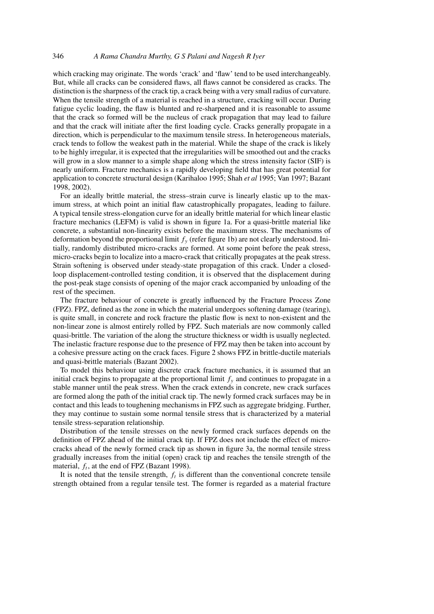which cracking may originate. The words 'crack' and 'flaw' tend to be used interchangeably. But, while all cracks can be considered flaws, all flaws cannot be considered as cracks. The distinction is the sharpness of the crack tip, a crack being with a very small radius of curvature. When the tensile strength of a material is reached in a structure, cracking will occur. During fatigue cyclic loading, the flaw is blunted and re-sharpened and it is reasonable to assume that the crack so formed will be the nucleus of crack propagation that may lead to failure and that the crack will initiate after the first loading cycle. Cracks generally propagate in a direction, which is perpendicular to the maximum tensile stress. In heterogeneous materials, crack tends to follow the weakest path in the material. While the shape of the crack is likely to be highly irregular, it is expected that the irregularities will be smoothed out and the cracks will grow in a slow manner to a simple shape along which the stress intensity factor (SIF) is nearly uniform. Fracture mechanics is a rapidly developing field that has great potential for application to concrete structural design (Karihaloo 1995; Shah *et al* 1995; Van 1997; Bazant 1998, 2002).

For an ideally brittle material, the stress–strain curve is linearly elastic up to the maximum stress, at which point an initial flaw catastrophically propagates, leading to failure. A typical tensile stress-elongation curve for an ideally brittle material for which linear elastic fracture mechanics (LEFM) is valid is shown in figure 1a. For a quasi-brittle material like concrete, a substantial non-linearity exists before the maximum stress. The mechanisms of deformation beyond the proportional limit *fy* (refer figure 1b) are not clearly understood. Initially, randomly distributed micro-cracks are formed. At some point before the peak stress, micro-cracks begin to localize into a macro-crack that critically propagates at the peak stress. Strain softening is observed under steady-state propagation of this crack. Under a closedloop displacement-controlled testing condition, it is observed that the displacement during the post-peak stage consists of opening of the major crack accompanied by unloading of the rest of the specimen.

The fracture behaviour of concrete is greatly influenced by the Fracture Process Zone (FPZ). FPZ, defined as the zone in which the material undergoes softening damage (tearing), is quite small, in concrete and rock fracture the plastic flow is next to non-existent and the non-linear zone is almost entirely rolled by FPZ. Such materials are now commonly called quasi-brittle. The variation of the along the structure thickness or width is usually neglected. The inelastic fracture response due to the presence of FPZ may then be taken into account by a cohesive pressure acting on the crack faces. Figure 2 shows FPZ in brittle-ductile materials and quasi-brittle materials (Bazant 2002).

To model this behaviour using discrete crack fracture mechanics, it is assumed that an initial crack begins to propagate at the proportional limit  $f<sub>y</sub>$  and continues to propagate in a stable manner until the peak stress. When the crack extends in concrete, new crack surfaces are formed along the path of the initial crack tip. The newly formed crack surfaces may be in contact and this leads to toughening mechanisms in FPZ such as aggregate bridging. Further, they may continue to sustain some normal tensile stress that is characterized by a material tensile stress-separation relationship.

Distribution of the tensile stresses on the newly formed crack surfaces depends on the definition of FPZ ahead of the initial crack tip. If FPZ does not include the effect of microcracks ahead of the newly formed crack tip as shown in figure 3a, the normal tensile stress gradually increases from the initial (open) crack tip and reaches the tensile strength of the material,  $f_t$ , at the end of FPZ (Bazant 1998).

It is noted that the tensile strength,  $f_t$  is different than the conventional concrete tensile strength obtained from a regular tensile test. The former is regarded as a material fracture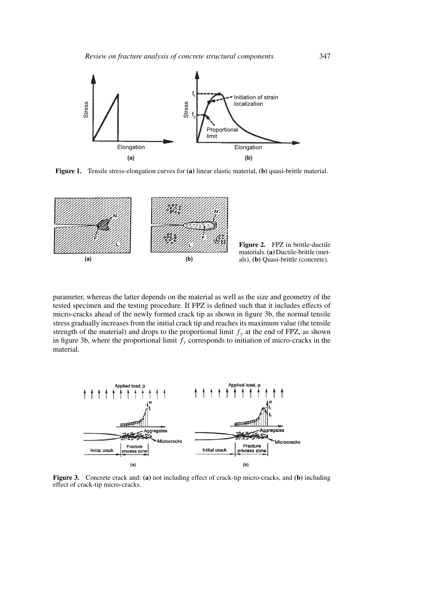

**Figure 1.** Tensile stress-elongation curves for **(a)** linear elastic material, **(b)** quasi-brittle material.



**Figure 2.** FPZ in brittle-ductile materials.**(a)**Ductile-brittle (metals), **(b)** Quasi-brittle (concrete).

parameter, whereas the latter depends on the material as well as the size and geometry of the tested specimen and the testing procedure. If FPZ is defined such that it includes effects of micro-cracks ahead of the newly formed crack tip as shown in figure 3b, the normal tensile stress gradually increases from the initial crack tip and reaches its maximum value (the tensile strength of the material) and drops to the proportional limit  $f_y$  at the end of FPZ, as shown in figure 3b, where the proportional limit  $f_y$  corresponds to initiation of micro-cracks in the material.



**Figure 3.** Concrete crack and: **(a)** not including effect of crack-tip micro-cracks, and **(b)** including effect of crack-tip micro-cracks.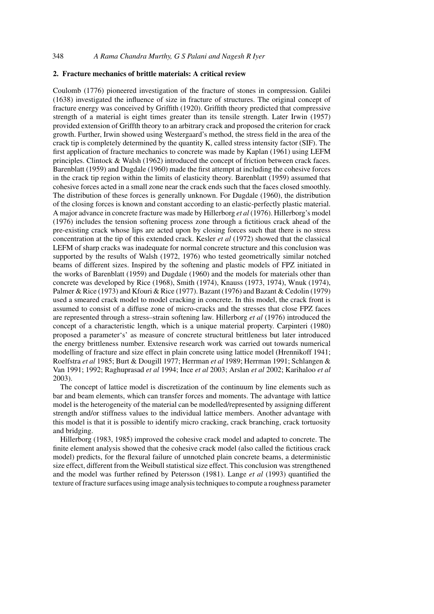## **2. Fracture mechanics of brittle materials: A critical review**

Coulomb (1776) pioneered investigation of the fracture of stones in compression. Galilei (1638) investigated the influence of size in fracture of structures. The original concept of fracture energy was conceived by Griffith (1920). Griffith theory predicted that compressive strength of a material is eight times greater than its tensile strength. Later Irwin (1957) provided extension of Griffth theory to an arbitrary crack and proposed the criterion for crack growth. Further, Irwin showed using Westergaard's method, the stress field in the area of the crack tip is completely determined by the quantity K, called stress intensity factor (SIF). The first application of fracture mechanics to concrete was made by Kaplan (1961) using LEFM principles. Clintock & Walsh (1962) introduced the concept of friction between crack faces. Barenblatt (1959) and Dugdale (1960) made the first attempt at including the cohesive forces in the crack tip region within the limits of elasticity theory. Barenblatt (1959) assumed that cohesive forces acted in a small zone near the crack ends such that the faces closed smoothly. The distribution of these forces is generally unknown. For Dugdale (1960), the distribution of the closing forces is known and constant according to an elastic-perfectly plastic material. A major advance in concrete fracture was made by Hillerborg *et al* (1976). Hillerborg's model (1976) includes the tension softening process zone through a fictitious crack ahead of the pre-existing crack whose lips are acted upon by closing forces such that there is no stress concentration at the tip of this extended crack. Kesler *et al* (1972) showed that the classical LEFM of sharp cracks was inadequate for normal concrete structure and this conclusion was supported by the results of Walsh (1972, 1976) who tested geometrically similar notched beams of different sizes. Inspired by the softening and plastic models of FPZ initiated in the works of Barenblatt (1959) and Dugdale (1960) and the models for materials other than concrete was developed by Rice (1968), Smith (1974), Knauss (1973, 1974), Wnuk (1974), Palmer & Rice (1973) and Kfouri & Rice (1977). Bazant (1976) and Bazant & Cedolin (1979) used a smeared crack model to model cracking in concrete. In this model, the crack front is assumed to consist of a diffuse zone of micro-cracks and the stresses that close FPZ faces are represented through a stress–strain softening law. Hillerborg *et al* (1976) introduced the concept of a characteristic length, which is a unique material property. Carpinteri (1980) proposed a parameter's' as measure of concrete structural brittleness but later introduced the energy brittleness number. Extensive research work was carried out towards numerical modelling of fracture and size effect in plain concrete using lattice model (Hrennikoff 1941; Roelfstra *et al* 1985; Burt & Dougill 1977; Herrman *et al* 1989; Herrman 1991; Schlangen & Van 1991; 1992; Raghuprasad *et al* 1994; Ince *et al* 2003; Arslan *et al* 2002; Karihaloo *et al* 2003).

The concept of lattice model is discretization of the continuum by line elements such as bar and beam elements, which can transfer forces and moments. The advantage with lattice model is the heterogeneity of the material can be modelled/represented by assigning different strength and/or stiffness values to the individual lattice members. Another advantage with this model is that it is possible to identify micro cracking, crack branching, crack tortuosity and bridging.

Hillerborg (1983, 1985) improved the cohesive crack model and adapted to concrete. The finite element analysis showed that the cohesive crack model (also called the fictitious crack model) predicts, for the flexural failure of unnotched plain concrete beams, a deterministic size effect, different from the Weibull statistical size effect. This conclusion was strengthened and the model was further refined by Petersson (1981). Lange *et al* (1993) quantified the texture of fracture surfaces using image analysis techniques to compute a roughness parameter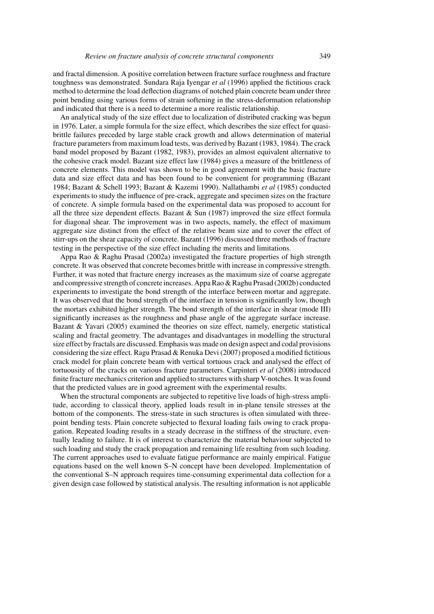and fractal dimension. A positive correlation between fracture surface roughness and fracture toughness was demonstrated. Sundara Raja Iyengar *et al* (1996) applied the fictitious crack method to determine the load deflection diagrams of notched plain concrete beam under three point bending using various forms of strain softening in the stress-deformation relationship and indicated that there is a need to determine a more realistic relationship.

An analytical study of the size effect due to localization of distributed cracking was begun in 1976. Later, a simple formula for the size effect, which describes the size effect for quasibrittle failures preceded by large stable crack growth and allows determination of material fracture parameters from maximum load tests, was derived by Bazant (1983, 1984). The crack band model proposed by Bazant (1982, 1983), provides an almost equivalent alternative to the cohesive crack model. Bazant size effect law (1984) gives a measure of the brittleness of concrete elements. This model was shown to be in good agreement with the basic fracture data and size effect data and has been found to be convenient for programming (Bazant 1984; Bazant & Schell 1993; Bazant & Kazemi 1990). Nallathambi *et al* (1985) conducted experiments to study the influence of pre-crack, aggregate and specimen sizes on the fracture of concrete. A simple formula based on the experimental data was proposed to account for all the three size dependent effects. Bazant  $\&$  Sun (1987) improved the size effect formula for diagonal shear. The improvement was in two aspects, namely, the effect of maximum aggregate size distinct from the effect of the relative beam size and to cover the effect of stirr-ups on the shear capacity of concrete. Bazant (1996) discussed three methods of fracture testing in the perspective of the size effect including the merits and limitations.

Appa Rao & Raghu Prasad (2002a) investigated the fracture properties of high strength concrete. It was observed that concrete becomes brittle with increase in compressive strength. Further, it was noted that fracture energy increases as the maximum size of coarse aggregate and compressive strength of concrete increases. Appa Rao & Raghu Prasad (2002b) conducted experiments to investigate the bond strength of the interface between mortar and aggregate. It was observed that the bond strength of the interface in tension is significantly low, though the mortars exhibited higher strength. The bond strength of the interface in shear (mode III) significantly increases as the roughness and phase angle of the aggregate surface increase. Bazant & Yavari (2005) examined the theories on size effect, namely, energetic statistical scaling and fractal geometry. The advantages and disadvantages in modelling the structural size effect by fractals are discussed. Emphasis was made on design aspect and codal provisions considering the size effect. Ragu Prasad & Renuka Devi (2007) proposed a modified fictitious crack model for plain concrete beam with vertical tortuous crack and analysed the effect of tortuousity of the cracks on various fracture parameters. Carpinteri *et al* (2008) introduced finite fracture mechanics criterion and applied to structures with sharp V-notches. It was found that the predicted values are in good agreement with the experimental results.

When the structural components are subjected to repetitive live loads of high-stress amplitude, according to classical theory, applied loads result in in-plane tensile stresses at the bottom of the components. The stress-state in such structures is often simulated with threepoint bending tests. Plain concrete subjected to flexural loading fails owing to crack propagation. Repeated loading results in a steady decrease in the stiffness of the structure, eventually leading to failure. It is of interest to characterize the material behaviour subjected to such loading and study the crack propagation and remaining life resulting from such loading. The current approaches used to evaluate fatigue performance are mainly empirical. Fatigue equations based on the well known S–N concept have been developed. Implementation of the conventional S–N approach requires time-consuming experimental data collection for a given design case followed by statistical analysis. The resulting information is not applicable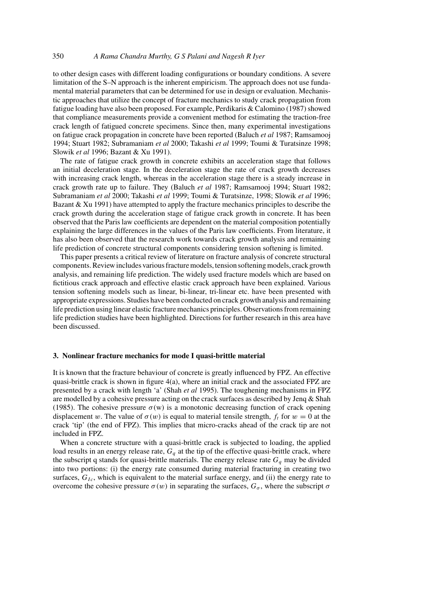to other design cases with different loading configurations or boundary conditions. A severe limitation of the S–N approach is the inherent empiricism. The approach does not use fundamental material parameters that can be determined for use in design or evaluation. Mechanistic approaches that utilize the concept of fracture mechanics to study crack propagation from fatigue loading have also been proposed. For example, Perdikaris & Calomino (1987) showed that compliance measurements provide a convenient method for estimating the traction-free crack length of fatigued concrete specimens. Since then, many experimental investigations on fatigue crack propagation in concrete have been reported (Baluch *et al* 1987; Ramsamooj 1994; Stuart 1982; Subramaniam *et al* 2000; Takashi *et al* 1999; Toumi & Turatsinze 1998; Slowik *et al* 1996; Bazant & Xu 1991).

The rate of fatigue crack growth in concrete exhibits an acceleration stage that follows an initial deceleration stage. In the deceleration stage the rate of crack growth decreases with increasing crack length, whereas in the acceleration stage there is a steady increase in crack growth rate up to failure. They (Baluch *et al* 1987; Ramsamooj 1994; Stuart 1982; Subramaniam *et al* 2000; Takashi *et al* 1999; Toumi & Turatsinze, 1998; Slowik *et al* 1996; Bazant & Xu 1991) have attempted to apply the fracture mechanics principles to describe the crack growth during the acceleration stage of fatigue crack growth in concrete. It has been observed that the Paris law coefficients are dependent on the material composition potentially explaining the large differences in the values of the Paris law coefficients. From literature, it has also been observed that the research work towards crack growth analysis and remaining life prediction of concrete structural components considering tension softening is limited.

This paper presents a critical review of literature on fracture analysis of concrete structural components. Review includes various fracture models, tension softening models, crack growth analysis, and remaining life prediction. The widely used fracture models which are based on fictitious crack approach and effective elastic crack approach have been explained. Various tension softening models such as linear, bi-linear, tri-linear etc. have been presented with appropriate expressions. Studies have been conducted on crack growth analysis and remaining life prediction using linear elastic fracture mechanics principles. Observations from remaining life prediction studies have been highlighted. Directions for further research in this area have been discussed.

#### **3. Nonlinear fracture mechanics for mode I quasi-brittle material**

It is known that the fracture behaviour of concrete is greatly influenced by FPZ. An effective quasi-brittle crack is shown in figure 4(a), where an initial crack and the associated FPZ are presented by a crack with length 'a' (Shah *et al* 1995). The toughening mechanisms in FPZ are modelled by a cohesive pressure acting on the crack surfaces as described by Jenq  $&$  Shah (1985). The cohesive pressure  $\sigma(w)$  is a monotonic decreasing function of crack opening displacement *w*. The value of  $\sigma(w)$  is equal to material tensile strength, *f<sub>t</sub>* for  $w = 0$  at the crack 'tip' (the end of FPZ). This implies that micro-cracks ahead of the crack tip are not included in FPZ.

When a concrete structure with a quasi-brittle crack is subjected to loading, the applied load results in an energy release rate,  $G_q$  at the tip of the effective quasi-brittle crack, where the subscript q stands for quasi-brittle materials. The energy release rate  $G<sub>q</sub>$  may be divided into two portions: (i) the energy rate consumed during material fracturing in creating two surfaces,  $G_{Ic}$ , which is equivalent to the material surface energy, and (ii) the energy rate to overcome the cohesive pressure  $σ(w)$  in separating the surfaces,  $G_σ$ , where the subscript  $σ$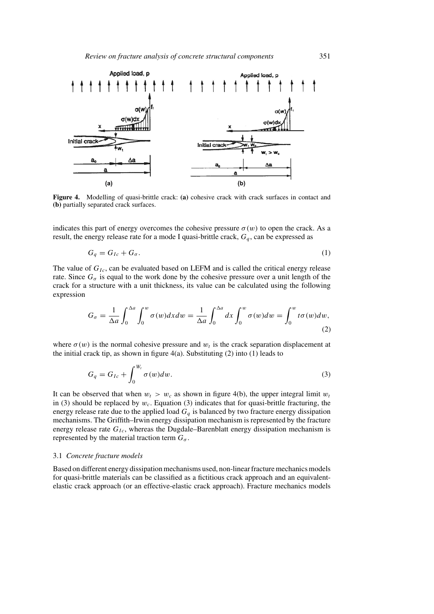

**Figure 4.** Modelling of quasi-brittle crack: **(a)** cohesive crack with crack surfaces in contact and **(b)** partially separated crack surfaces.

indicates this part of energy overcomes the cohesive pressure  $\sigma(w)$  to open the crack. As a result, the energy release rate for a mode I quasi-brittle crack,  $G_q$ , can be expressed as

$$
G_q = G_{1c} + G_{\sigma}.
$$
 (1)

The value of  $G_{Ic}$ , can be evaluated based on LEFM and is called the critical energy release rate. Since  $G_{\sigma}$  is equal to the work done by the cohesive pressure over a unit length of the crack for a structure with a unit thickness, its value can be calculated using the following expression

$$
G_{\sigma} = \frac{1}{\Delta a} \int_0^{\Delta a} \int_0^w \sigma(w) dx dw = \frac{1}{\Delta a} \int_0^{\Delta a} dx \int_0^w \sigma(w) dw = \int_0^w t \sigma(w) dw,
$$
\n(2)

where  $\sigma(w)$  is the normal cohesive pressure and  $w_t$  is the crack separation displacement at the initial crack tip, as shown in figure  $4(a)$ . Substituting  $(2)$  into  $(1)$  leads to

$$
G_q = G_{Ic} + \int_0^{W_t} \sigma(w) dw.
$$
 (3)

It can be observed that when  $w_t > w_c$  as shown in figure 4(b), the upper integral limit  $w_t$ in (3) should be replaced by  $w_c$ . Equation (3) indicates that for quasi-brittle fracturing, the energy release rate due to the applied load  $G<sub>q</sub>$  is balanced by two fracture energy dissipation mechanisms. The Griffith–Irwin energy dissipation mechanism is represented by the fracture energy release rate  $G_{Ic}$ , whereas the Dugdale–Barenblatt energy dissipation mechanism is represented by the material traction term  $G_{\sigma}$ .

#### 3.1 *Concrete fracture models*

Based on different energy dissipation mechanisms used, non-linear fracture mechanics models for quasi-brittle materials can be classified as a fictitious crack approach and an equivalentelastic crack approach (or an effective-elastic crack approach). Fracture mechanics models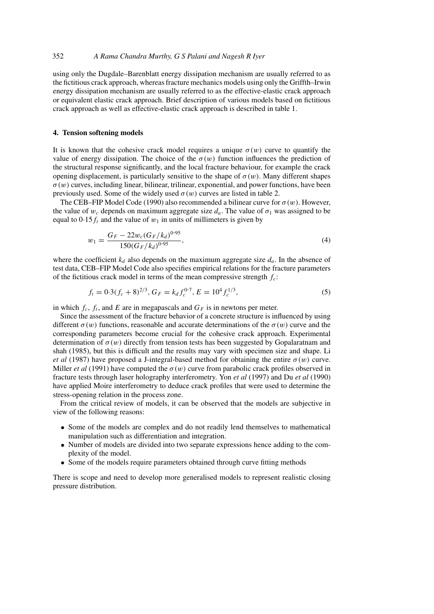using only the Dugdale–Barenblatt energy dissipation mechanism are usually referred to as the fictitious crack approach, whereas fracture mechanics models using only the Griffth–Irwin energy dissipation mechanism are usually referred to as the effective-elastic crack approach or equivalent elastic crack approach. Brief description of various models based on fictitious crack approach as well as effective-elastic crack approach is described in table 1.

## **4. Tension softening models**

It is known that the cohesive crack model requires a unique  $\sigma(w)$  curve to quantify the value of energy dissipation. The choice of the  $\sigma(w)$  function influences the prediction of the structural response significantly, and the local fracture behaviour, for example the crack opening displacement, is particularly sensitive to the shape of  $\sigma(w)$ . Many different shapes  $\sigma(w)$  curves, including linear, bilinear, trilinear, exponential, and power functions, have been previously used. Some of the widely used  $\sigma(w)$  curves are listed in table 2.

The CEB–FIP Model Code (1990) also recommended a bilinear curve for  $\sigma(w)$ . However, the value of  $w_c$  depends on maximum aggregate size  $d_a$ . The value of  $\sigma_1$  was assigned to be equal to  $0.15 f_t$  and the value of  $w_1$  in units of millimeters is given by

$$
w_1 = \frac{G_F - 22w_c(G_F/k_d)^{0.95}}{150(G_F/k_d)^{0.95}},
$$
\n(4)

where the coefficient  $k_d$  also depends on the maximum aggregate size  $d_a$ . In the absence of test data, CEB–FIP Model Code also specifies empirical relations for the fracture parameters of the fictitious crack model in terms of the mean compressive strength *fc*:

$$
f_t = 0.3(f_c + 8)^{2/3}, G_F = k_d f_c^{0.7}, E = 10^4 f_c^{1/3},
$$
\n(5)

in which  $f_c$ ,  $f_t$ , and *E* are in megapascals and  $G_F$  is in newtons per meter.

Since the assessment of the fracture behavior of a concrete structure is influenced by using different  $\sigma(w)$  functions, reasonable and accurate determinations of the  $\sigma(w)$  curve and the corresponding parameters become crucial for the cohesive crack approach. Experimental determination of  $\sigma(w)$  directly from tension tests has been suggested by Gopalaratnam and shah (1985), but this is difficult and the results may vary with specimen size and shape. Li *et al* (1987) have proposed a J-integral-based method for obtaining the entire  $\sigma(w)$  curve. Miller *et al* (1991) have computed the  $\sigma(w)$  curve from parabolic crack profiles observed in fracture tests through laser holography interferometry. Yon *et al* (1997) and Du *et al* (1990) have applied Moire interferometry to deduce crack profiles that were used to determine the stress-opening relation in the process zone.

From the critical review of models, it can be observed that the models are subjective in view of the following reasons:

- Some of the models are complex and do not readily lend themselves to mathematical manipulation such as differentiation and integration.
- Number of models are divided into two separate expressions hence adding to the complexity of the model.
- Some of the models require parameters obtained through curve fitting methods

There is scope and need to develop more generalised models to represent realistic closing pressure distribution.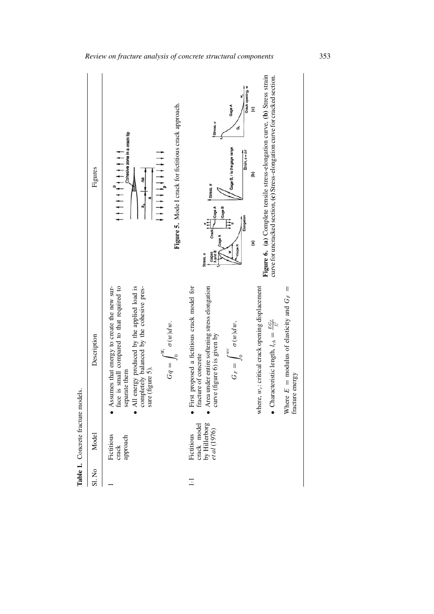

Table 1. Concrete fracture models. **Table 1.** Concrete fracture models.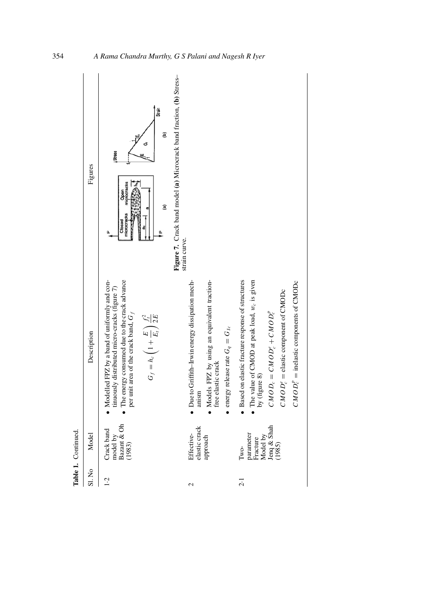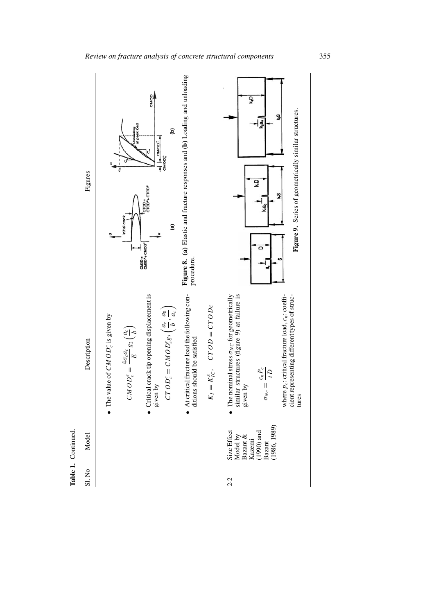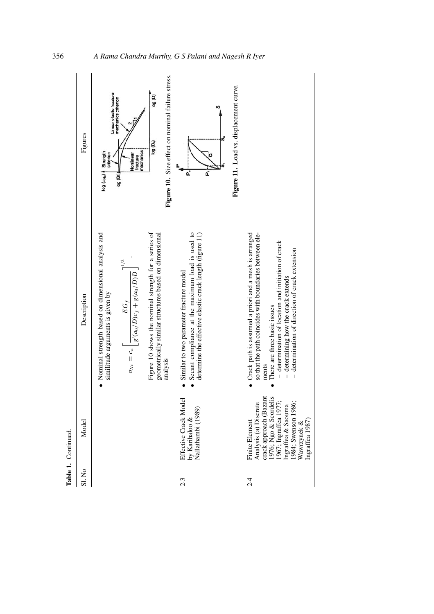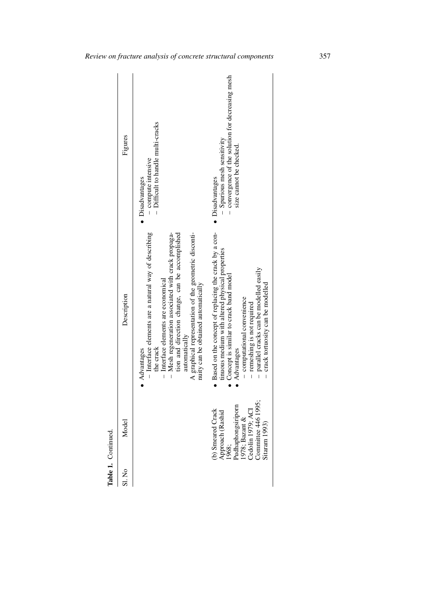|                     | Figures        | - Difficult to handle multi-cracks<br>- compute intensive<br>Disadvantages                                                                                                                                                                                                                                                                      | convergence of the solution for decreasing mesh<br>$-$ Spurious mesh sensitivity<br>size cannot be checked.<br>Disadvantages                                                                                                                                                                                   |
|---------------------|----------------|-------------------------------------------------------------------------------------------------------------------------------------------------------------------------------------------------------------------------------------------------------------------------------------------------------------------------------------------------|----------------------------------------------------------------------------------------------------------------------------------------------------------------------------------------------------------------------------------------------------------------------------------------------------------------|
|                     | Description    | - Interface elements are a natural way of describing<br>A graphical representation of the geometric disconti-<br>- Mesh regeneration associated with crack propaga-<br>tion and direction change, can be accomplished<br>- Interface elements are economical<br>nuity can be obtained automatically<br>automatically<br>the crack<br>Advantages | Based on the concept of replacing the crack by a con-<br>tinuous medium with altered physical properties<br>- parallel cracks can be modelled easily<br>Concept is similar to crack band model<br>crack tortuosity can be modelled<br>- computational convenience<br>- remeshing is not required<br>Advantages |
| Table 1. Continued. | $_{\rm Model}$ |                                                                                                                                                                                                                                                                                                                                                 | Committee 446 1995;<br>Approach (Rashid<br>1968;<br>Pudhaphongsiriporn<br>1978; Bazant &<br>Cedolin 1979; ACI<br>b) Smeared Crack<br>Sitaram 1993)                                                                                                                                                             |
|                     | Sl. No         |                                                                                                                                                                                                                                                                                                                                                 |                                                                                                                                                                                                                                                                                                                |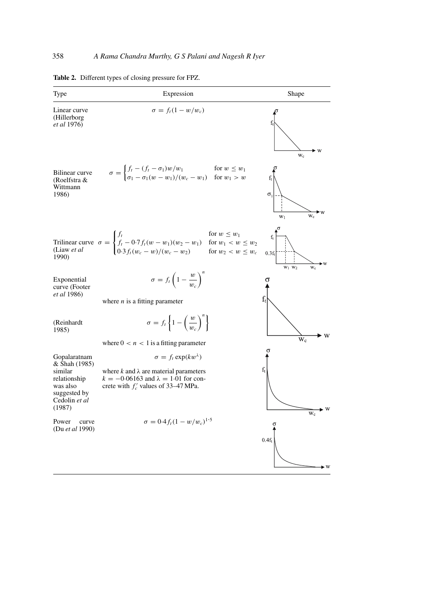| Type                                                                                                            | Expression                                                                                                                                                                                                                            | Shape                   |
|-----------------------------------------------------------------------------------------------------------------|---------------------------------------------------------------------------------------------------------------------------------------------------------------------------------------------------------------------------------------|-------------------------|
| Linear curve<br>(Hillerborg<br>et al 1976)                                                                      | $\sigma = f_t(1 - w/w_c)$                                                                                                                                                                                                             | W <sub>c</sub>          |
| Bilinear curve<br>(Roelfstra &<br>Wittmann<br>1986)                                                             | $\sigma = \begin{cases} f_t - (f_t - \sigma_1) w/w_1 & \text{for } w \leq w_1 \\ \sigma_1 - \sigma_1 (w - w_1)/(w_c - w_1) & \text{for } w_1 > w \end{cases}$                                                                         | σ<br>$W_c$<br>$W_1$     |
| 1990)                                                                                                           | for $w \leq w_1$<br>Trilinear curve $\sigma = \begin{cases} f_t & \text{for } w \le w_1 \\ f_t - 0.7 f_t(w - w_1)(w_2 - w_1) & \text{for } w_1 < w \le w_2 \\ 0.3 f_t(w_c - w)/(w_c - w_2) & \text{for } w_2 < w \le w_c \end{cases}$ | $0.3f_t$<br>$W_1$ $W_2$ |
| Exponential<br>curve (Footer<br><i>et al</i> 1986)                                                              | $\sigma = f_t \left(1 - \frac{w}{w}\right)^n$<br>where $n$ is a fitting parameter                                                                                                                                                     | W <sub>c</sub>          |
| (Reinhardt<br>1985)                                                                                             | $\sigma = f_t \left\{ 1 - \left( \frac{w}{w_s} \right)^n \right\}$<br>where $0 < n < 1$ is a fitting parameter                                                                                                                        | $W_c$                   |
| Gopalaratnam<br>& Shah (1985)<br>similar<br>relationship<br>was also<br>suggested by<br>Cedolin et al<br>(1987) | $\sigma = f_t \exp(kw^{\lambda})$<br>where k and $\lambda$ are material parameters<br>$k = -0.06163$ and $\lambda = 1.01$ for con-<br>crete with $f'_c$ values of 33–47 MPa.                                                          | f,<br>$W_c$             |
| Power<br>curve<br>(Du et al 1990)                                                                               | $\sigma = 0.4 f_t (1 - w/w_c)^{1.5}$                                                                                                                                                                                                  | 0.4f <sub>t</sub>       |

**Table 2.** Different types of closing pressure for FPZ.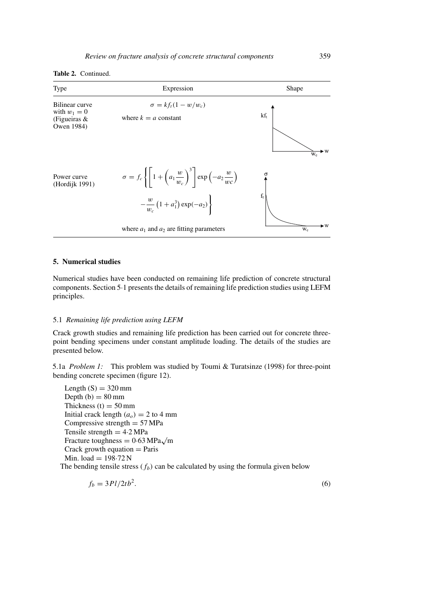**Table 2.** Continued.

| <b>Type</b>                                                       | Expression                                                                                                                                                          | Shape                |
|-------------------------------------------------------------------|---------------------------------------------------------------------------------------------------------------------------------------------------------------------|----------------------|
| Bilinear curve<br>with $w_1 = 0$<br>(Figueiras $\&$<br>Owen 1984) | $\sigma = kf_t(1 - w/w_c)$<br>where $k = a$ constant                                                                                                                | $kf_t$<br>$W_c$      |
| Power curve<br>(Hordijk 1991)                                     | $\sigma = f_c \left\{ \left[ 1 + \left( a_1 \frac{w}{w_c} \right)^3 \right] \exp \left( -a_2 \frac{w}{w_c} \right) \right\}$<br>$-\frac{w}{w_c}(1+a_1^3)\exp(-a_2)$ |                      |
|                                                                   | where $a_1$ and $a_2$ are fitting parameters                                                                                                                        | ►W<br>W <sub>c</sub> |

#### **5. Numerical studies**

Numerical studies have been conducted on remaining life prediction of concrete structural components. Section 5·1 presents the details of remaining life prediction studies using LEFM principles.

#### 5.1 *Remaining life prediction using LEFM*

Crack growth studies and remaining life prediction has been carried out for concrete threepoint bending specimens under constant amplitude loading. The details of the studies are presented below.

5.1a *Problem 1:* This problem was studied by Toumi & Turatsinze (1998) for three-point bending concrete specimen (figure 12).

Length  $(S) = 320$  mm Depth  $(b) = 80$  mm Thickness  $(t) = 50$  mm Initial crack length  $(a<sub>o</sub>) = 2$  to 4 mm Compressive strength  $= 57$  MPa Tensile strength  $= 4.2$  MPa Fracture toughness =  $0.63 \text{ MPa}$  /m Crack growth equation  $=$  Paris Min. load  $= 198.72$  N

The bending tensile stress  $(f_b)$  can be calculated by using the formula given below

$$
f_b = \frac{3Pl}{2tb^2}.\tag{6}
$$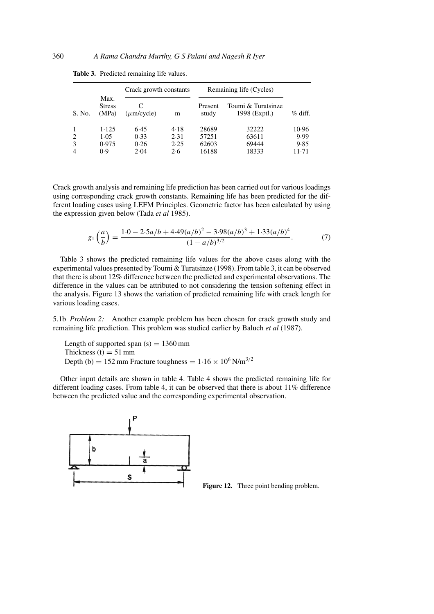|                | Max.<br><b>Stress</b><br>(MPa) | Crack growth constants |      | Remaining life (Cycles) |                                     |            |
|----------------|--------------------------------|------------------------|------|-------------------------|-------------------------------------|------------|
| S. No.         |                                | $(\mu$ m/cycle)        | m    | Present<br>study        | Toumi & Turatsinze<br>1998 (Exptl.) | $\%$ diff. |
|                | 1.125                          | 6.45                   | 4.18 | 28689                   | 32222                               | 10.96      |
| 2              | 1.05                           | 0.33                   | 2.31 | 57251                   | 63611                               | 9.99       |
| 3              | 0.975                          | 0.26                   | 2.25 | 62603                   | 69444                               | 9.85       |
| $\overline{4}$ | 0.9                            | 2.04                   | 2.6  | 16188                   | 18333                               | 11.71      |

Table 3. Predicted remaining life values.

Crack growth analysis and remaining life prediction has been carried out for various loadings using corresponding crack growth constants. Remaining life has been predicted for the different loading cases using LEFM Principles. Geometric factor has been calculated by using the expression given below (Tada *et al* 1985).

$$
g_1\left(\frac{a}{b}\right) = \frac{1 \cdot 0 - 2 \cdot 5a/b + 4 \cdot 49(a/b)^2 - 3 \cdot 98(a/b)^3 + 1 \cdot 33(a/b)^4}{(1 - a/b)^{3/2}}.\tag{7}
$$

Table 3 shows the predicted remaining life values for the above cases along with the experimental values presented by Toumi & Turatsinze (1998). From table 3, it can be observed that there is about 12% difference between the predicted and experimental observations. The difference in the values can be attributed to not considering the tension softening effect in the analysis. Figure 13 shows the variation of predicted remaining life with crack length for various loading cases.

5.1b *Problem 2:* Another example problem has been chosen for crack growth study and remaining life prediction. This problem was studied earlier by Baluch *et al* (1987).

Length of supported span  $(s) = 1360$  mm Thickness  $(t) = 51$  mm Depth (b) = 152 mm Fracture toughness =  $1.16 \times 10^6$  N/m<sup>3/2</sup>

Other input details are shown in table 4. Table 4 shows the predicted remaining life for different loading cases. From table 4, it can be observed that there is about  $11\%$  difference between the predicted value and the corresponding experimental observation.



**Figure 12.** Three point bending problem.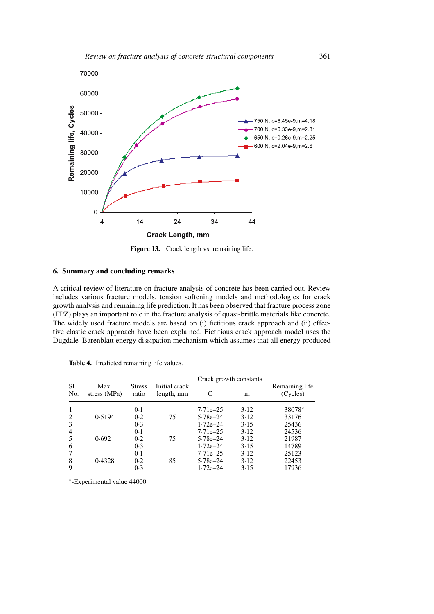

Figure 13. Crack length vs. remaining life.

## **6. Summary and concluding remarks**

A critical review of literature on fracture analysis of concrete has been carried out. Review includes various fracture models, tension softening models and methodologies for crack growth analysis and remaining life prediction. It has been observed that fracture process zone (FPZ) plays an important role in the fracture analysis of quasi-brittle materials like concrete. The widely used fracture models are based on (i) fictitious crack approach and (ii) effective elastic crack approach have been explained. Fictitious crack approach model uses the Dugdale–Barenblatt energy dissipation mechanism which assumes that all energy produced

|                | Max.<br>stress (MPa) | <b>Stress</b><br>ratio |                             | Crack growth constants |      |                            |
|----------------|----------------------|------------------------|-----------------------------|------------------------|------|----------------------------|
| Sl.<br>No.     |                      |                        | Initial crack<br>length, mm |                        | m    | Remaining life<br>(Cycles) |
| 1              |                      | 0.1                    |                             | $7.71e - 25$           | 3.12 | 38078*                     |
| 2              | 0.5194               | 0.2                    | 75                          | $5.78e - 24$           | 3.12 | 33176                      |
| 3              |                      | 0.3                    |                             | $1.72e - 24$           | 3.15 | 25436                      |
| $\overline{4}$ |                      | (0.1)                  |                             | $7.71e - 25$           | 3.12 | 24536                      |
| 5              | 0.692                | 0.2                    | 75                          | $5.78e - 24$           | 3.12 | 21987                      |
| 6              |                      | 0.3                    |                             | $1.72e - 24$           | 3.15 | 14789                      |
| 7              |                      | (0.1)                  |                             | $7.71e - 25$           | 3.12 | 25123                      |
| 8              | 0.4328               | 0.2                    | 85                          | $5.78e - 24$           | 3.12 | 22453                      |
| 9              |                      | 0.3                    |                             | $1.72e - 24$           | 3.15 | 17936                      |

**Table 4.** Predicted remaining life values.

∗-Experimental value 44000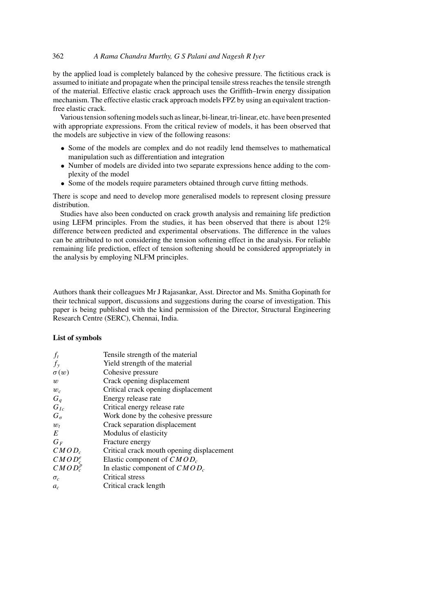#### 362 *A Rama Chandra Murthy,GSPalani and Nagesh R Iyer*

by the applied load is completely balanced by the cohesive pressure. The fictitious crack is assumed to initiate and propagate when the principal tensile stress reaches the tensile strength of the material. Effective elastic crack approach uses the Griffith–Irwin energy dissipation mechanism. The effective elastic crack approach models FPZ by using an equivalent tractionfree elastic crack.

Various tension softening models such as linear, bi-linear, tri-linear, etc. have been presented with appropriate expressions. From the critical review of models, it has been observed that the models are subjective in view of the following reasons:

- Some of the models are complex and do not readily lend themselves to mathematical manipulation such as differentiation and integration
- Number of models are divided into two separate expressions hence adding to the complexity of the model
- Some of the models require parameters obtained through curve fitting methods.

There is scope and need to develop more generalised models to represent closing pressure distribution.

Studies have also been conducted on crack growth analysis and remaining life prediction using LEFM principles. From the studies, it has been observed that there is about 12% difference between predicted and experimental observations. The difference in the values can be attributed to not considering the tension softening effect in the analysis. For reliable remaining life prediction, effect of tension softening should be considered appropriately in the analysis by employing NLFM principles.

Authors thank their colleagues Mr J Rajasankar, Asst. Director and Ms. Smitha Gopinath for their technical support, discussions and suggestions during the coarse of investigation. This paper is being published with the kind permission of the Director, Structural Engineering Research Centre (SERC), Chennai, India.

#### **List of symbols**

| $f_t$             | Tensile strength of the material          |
|-------------------|-------------------------------------------|
| $f_{y}$           | Yield strength of the material            |
| $\sigma(w)$       | Cohesive pressure                         |
| w                 | Crack opening displacement                |
| $w_c$             | Critical crack opening displacement       |
| $G_q$             | Energy release rate                       |
| $G_{Ic}$          | Critical energy release rate              |
| $G_{\sigma}$      | Work done by the cohesive pressure        |
| $w_t$             | Crack separation displacement             |
| E                 | Modulus of elasticity                     |
| $G_F$             | Fracture energy                           |
| CMOD <sub>c</sub> | Critical crack mouth opening displacement |
| $CMOD_c^e$        | Elastic component of $CMOD_c$             |
| $CMOD_c^p$        | In elastic component of $CMOD_c$          |
| $\sigma_c$        | Critical stress                           |
| $a_c$             | Critical crack length                     |
|                   |                                           |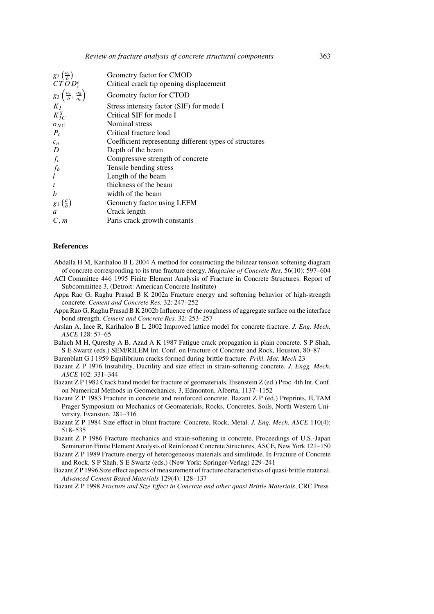| $g_2\left(\frac{a_c}{b}\right)$                 | Geometry factor for CMOD                               |
|-------------------------------------------------|--------------------------------------------------------|
| $CTOP_c^e$                                      | Critical crack tip opening displacement                |
| $g_3\left(\frac{a_c}{b},\frac{a_0}{a_c}\right)$ | Geometry factor for CTOD                               |
| $K_I$                                           | Stress intensity factor (SIF) for mode I               |
| $K_{IC}^S$                                      | Critical SIF for mode I                                |
| $\sigma_{NC}$                                   | Nominal stress                                         |
| $P_c$                                           | Critical fracture load                                 |
| $c_n$                                           | Coefficient representing different types of structures |
| D                                               | Depth of the beam                                      |
| $f_{\boldsymbol{c}}$                            | Compressive strength of concrete                       |
| $\int_l^L$                                      | Tensile bending stress                                 |
|                                                 | Length of the beam                                     |
| $\boldsymbol{t}$                                | thickness of the beam                                  |
| b                                               | width of the beam                                      |
| $g_1\left(\frac{a}{b}\right)$                   | Geometry factor using LEFM                             |
| a                                               | Crack length                                           |
| C, m                                            | Paris crack growth constants                           |

#### **References**

- Abdalla H M, Karihaloo B L 2004 A method for constructing the bilinear tension softening diagram of concrete corresponding to its true fracture energy. *Magazine of Concrete Res.* 56(10): 597–604
- ACI Committee 446 1995 Finite Element Analysis of Fracture in Concrete Structures. Report of Subcommittee 3, (Detroit: American Concrete Institute)
- Appa Rao G, Raghu Prasad B K 2002a Fracture energy and softening behavior of high-strength concrete. *Cement and Concrete Res.* 32: 247–252
- Appa Rao G, Raghu Prasad B K 2002b Influence of the roughness of aggregate surface on the interface bond strength. *Cement and Concrete Res.* 32: 253–257
- Arslan A, Ince R, Karihaloo B L 2002 Improved lattice model for concrete fracture. *J. Eng. Mech. ASCE* 128: 57–65

Baluch M H, Qureshy A B, Azad A K 1987 Fatigue crack propagation in plain concrete. S P Shah, S E Swartz (eds.) SEM/RILEM Int. Conf. on Fracture of Concrete and Rock, Houston, 80–87

Barenblatt G I 1959 Equilibrium cracks formed during brittle fracture. *Prikl. Mat. Mech* 23

- Bazant Z P 1976 Instability, Ductility and size effect in strain-softening concrete. *J. Engg. Mech. ASCE* 102: 331–344
- Bazant Z P 1982 Crack band model for fracture of geomaterials. Eisenstein Z (ed.) Proc. 4th Int. Conf. on Numerical Methods in Geomechanics, 3, Edmonton, Alberta, 1137–1152
- Bazant Z P 1983 Fracture in concrete and reinforced concrete. Bazant Z P (ed.) Preprints, IUTAM Prager Symposium on Mechanics of Geomaterials, Rocks, Concretes, Soils, North Western University, Evanston, 281–316
- Bazant Z P 1984 Size effect in blunt fracture: Concrete, Rock, Metal. *J. Eng. Mech. ASCE* 110(4): 518–535
- Bazant Z P 1986 Fracture mechanics and strain-softening in concrete. Proceedings of U.S.-Japan Seminar on Finite Element Analysis of Reinforced Concrete Structures, ASCE, New York 121–150
- Bazant Z P 1989 Fracture energy of heterogeneous materials and similitude. In Fracture of Concrete and Rock, S P Shah, S E Swartz (eds.) (New York: Springer-Verlag) 229–241
- Bazant Z P 1996 Size effect aspects of measurement of fracture characteristics of quasi-brittle material. *Advanced Cement Based Materials* 129(4): 128–137
- Bazant Z P 1998 *Fracture and Size Effect in Concrete and other quasi Brittle Materials*, CRC Press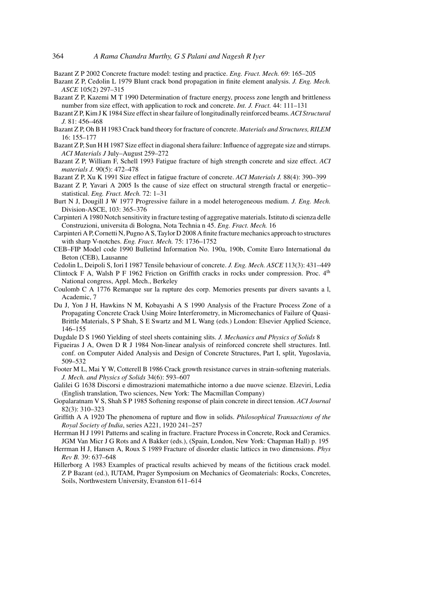Bazant Z P 2002 Concrete fracture model: testing and practice. *Eng. Fract. Mech.* 69: 165–205

- Bazant Z P, Cedolin L 1979 Blunt crack bond propagation in finite element analysis. *J. Eng. Mech. ASCE* 105(2) 297–315
- Bazant Z P, Kazemi M T 1990 Determination of fracture energy, process zone length and brittleness number from size effect, with application to rock and concrete. *Int. J. Fract.* 44: 111–131
- Bazant Z P, Kim J K 1984 Size effect in shear failure of longitudinally reinforced beams. *ACI Structural J.* 81: 456–468
- Bazant Z P, Oh B H 1983 Crack band theory for fracture of concrete. *Materials and Structures, RILEM* 16: 155–177
- Bazant Z P, Sun H H 1987 Size effect in diagonal shera failure: Influence of aggregate size and stirrups. *ACI Materials J* July–August 259–272
- Bazant Z P, William F, Schell 1993 Fatigue fracture of high strength concrete and size effect. *ACI materials J.* 90(5): 472–478
- Bazant Z P, Xu K 1991 Size effect in fatigue fracture of concrete. *ACI Materials J.* 88(4): 390–399
- Bazant Z P, Yavari A 2005 Is the cause of size effect on structural strength fractal or energetic– statistical. *Eng. Fract. Mech.* 72: 1–31
- Burt N J, Dougill J W 1977 Progressive failure in a model heterogeneous medium. *J. Eng. Mech.* Division-ASCE, 103: 365–376
- Carpinteri A 1980 Notch sensitivity in fracture testing of aggregative materials. Istituto di scienza delle Construzioni, universita di Bologna, Nota Technia n 45. *Eng. Fract. Mech.* 16
- Carpinteri A P, Cornetti N, Pugno A S, Taylor D 2008 A finite fracture mechanics approach to structures with sharp V-notches. *Eng. Fract. Mech.* 75: 1736–1752
- CEB–FIP Model code 1990 Bulletind Information No. 190a, 190b, Comite Euro International du Beton (CEB), Lausanne
- Cedolin L, Deipoli S, Iori I 1987 Tensile behaviour of concrete. *J. Eng. Mech. ASCE* 113(3): 431–449
- Clintock F A, Walsh P F 1962 Friction on Griffith cracks in rocks under compression. Proc.  $4<sup>th</sup>$ National congress, Appl. Mech., Berkeley
- Coulomb C A 1776 Remarque sur la rupture des corp. Memories presents par divers savants a l, Academic, 7
- Du J, Yon J H, Hawkins N M, Kobayashi A S 1990 Analysis of the Fracture Process Zone of a Propagating Concrete Crack Using Moire Interferometry, in Micromechanics of Failure of Quasi-Brittle Materials, S P Shah, S E Swartz and M L Wang (eds.) London: Elsevier Applied Science, 146–155
- Dugdale D S 1960 Yielding of steel sheets containing slits. *J. Mechanics and Physics of Solids* 8
- Figueiras J A, Owen D R J 1984 Non-linear analysis of reinforced concrete shell structures. Intl. conf. on Computer Aided Analysis and Design of Concrete Structures, Part I, split, Yugoslavia, 509–532
- Footer M L, Mai Y W, Cotterell B 1986 Crack growth resistance curves in strain-softening materials. *J. Mech. and Physics of Solids* 34(6): 593–607
- Galilei G 1638 Discorsi e dimostrazioni matemathiche intorno a due nuove scienze. Elzeviri, Ledia (English translation, Two sciences, New York: The Macmillan Company)
- Gopalaratnam V S, Shah S P 1985 Softening response of plain concrete in direct tension. *ACI Journal* 82(3): 310–323
- Griffith A A 1920 The phenomena of rupture and flow in solids. *Philosophical Transactions of the Royal Society of India*, series A221, 1920 241–257
- Herrman H J 1991 Patterns and scaling in fracture. Fracture Process in Concrete, Rock and Ceramics. JGM Van Micr J G Rots and A Bakker (eds.), (Spain, London, New York: Chapman Hall) p. 195
- Herrman H J, Hansen A, Roux S 1989 Fracture of disorder elastic latticcs in two dimensions. *Phys Rev B.* 39: 637–648
- Hillerborg A 1983 Examples of practical results achieved by means of the fictitious crack model. Z P Bazant (ed.), IUTAM, Prager Symposium on Mechanics of Geomaterials: Rocks, Concretes, Soils, Northwestern University, Evanston 611–614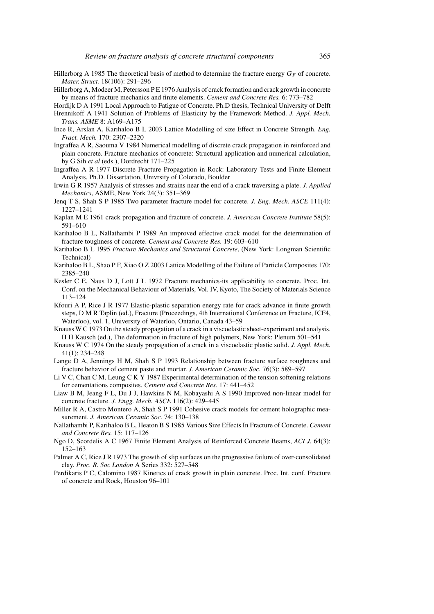- Hillerborg A 1985 The theoretical basis of method to determine the fracture energy  $G_F$  of concrete. *Mater. Struct.* 18(106): 291–296
- Hillerborg A, Modeer M, Petersson P E 1976 Analysis of crack formation and crack growth in concrete by means of fracture mechanics and finite elements. *Cement and Concrete Res.* 6: 773–782
- Hordijk D A 1991 Local Approach to Fatigue of Concrete. Ph.D thesis, Technical University of Delft
- Hrennikoff A 1941 Solution of Problems of Elasticity by the Framework Method. *J. Appl. Mech. Trans. ASME* 8: A169–A175
- Ince R, Arslan A, Karihaloo B L 2003 Lattice Modelling of size Effect in Concrete Strength. *Eng. Fract. Mech.* 170: 2307–2320
- Ingraffea A R, Saouma V 1984 Numerical modelling of discrete crack propagation in reinforced and plain concrete. Fracture mechanics of concrete: Structural application and numerical calculation, by G Sih *et al* (eds.), Dordrecht 171–225
- Ingraffea A R 1977 Discrete Fracture Propagation in Rock: Laboratory Tests and Finite Element Analysis. Ph.D. Dissertation, Univrsity of Colorado, Boulder
- Irwin G R 1957 Analysis of stresses and strains near the end of a crack traversing a plate. *J. Applied Mechanics*, ASME, New York 24(3): 351–369
- Jenq T S, Shah S P 1985 Two parameter fracture model for concrete. *J. Eng. Mech. ASCE* 111(4): 1227–1241
- Kaplan M E 1961 crack propagation and fracture of concrete. *J. American Concrete Institute* 58(5): 591–610
- Karihaloo B L, Nallathambi P 1989 An improved effective crack model for the determination of fracture toughness of concrete. *Cement and Concrete Res.* 19: 603–610
- Karihaloo B L 1995 *Fracture Mechanics and Structural Concrete*, (New York: Longman Scientific Technical)
- Karihaloo B L, Shao P F, Xiao O Z 2003 Lattice Modelling of the Failure of Particle Composites 170: 2385–240
- Kesler C E, Naus D J, Lott J L 1972 Fracture mechanics-its applicability to concrete. Proc. Int. Conf. on the Mechanical Behaviour of Materials, Vol. IV, Kyoto, The Society of Materials Science 113–124
- Kfouri A P, Rice J R 1977 Elastic-plastic separation energy rate for crack advance in finite growth steps,DMRTaplin (ed.), Fracture (Proceedings, 4th International Conference on Fracture, ICF4, Waterloo), vol. 1, University of Waterloo, Ontario, Canada 43–59
- Knauss W C 1973 On the steady propagation of a crack in a viscoelastic sheet-experiment and analysis. H H Kausch (ed.), The deformation in fracture of high polymers, New York: Plenum 501–541
- Knauss W C 1974 On the steady propagation of a crack in a viscoelastic plastic solid. *J. Appl. Mech.* 41(1): 234–248
- Lange D A, Jennings H M, Shah S P 1993 Relationship between fracture surface roughness and fracture behavior of cement paste and mortar. *J. American Ceramic Soc.* 76(3): 589–597
- Li V C, Chan C M, Leung C K Y 1987 Experimental determination of the tension softening relations for cementations composites. *Cement and Concrete Res.* 17: 441–452
- Liaw B M, Jeang F L, Du J J, Hawkins N M, Kobayashi A S 1990 Improved non-linear model for concrete fracture. *J. Engg. Mech. ASCE* 116(2): 429–445
- Miller R A, Castro Montero A, Shah S P 1991 Cohesive crack models for cement holographic measurement. *J. American Ceramic Soc.* 74: 130–138
- Nallathambi P, Karihaloo B L, Heaton B S 1985 Various Size Effects In Fracture of Concrete. *Cement and Concrete Res.* 15: 117–126
- Ngo D, Scordelis A C 1967 Finite Element Analysis of Reinforced Concrete Beams, *ACI J.* 64(3): 152–163
- Palmer A C, Rice J R 1973 The growth of slip surfaces on the progressive failure of over-consolidated clay. *Proc. R. Soc London* A Series 332: 527–548
- Perdikaris P C, Calomino 1987 Kinetics of crack growth in plain concrete. Proc. Int. conf. Fracture of concrete and Rock, Houston 96–101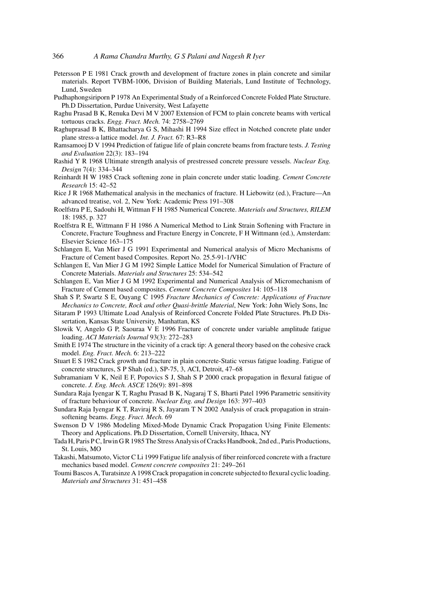- Petersson P E 1981 Crack growth and development of fracture zones in plain concrete and similar materials. Report TVBM-1006, Division of Building Materials, Lund Institute of Technology, Lund, Sweden
- Pudhaphongsiriporn P 1978 An Experimental Study of a Reinforced Concrete Folded Plate Structure. Ph.D Dissertation, Purdue University, West Lafayette
- Raghu Prasad B K, Renuka Devi M V 2007 Extension of FCM to plain concrete beams with vertical tortuous cracks. *Engg. Fract. Mech.* 74: 2758–2769
- Raghuprasad B K, Bhattacharya G S, Mihashi H 1994 Size effect in Notched concrete plate under plane stress-a lattice model. *Int. J. Fract.* 67: R3–R8
- Ramsamooj D V 1994 Prediction of fatigue life of plain concrete beams from fracture tests. *J. Testing and Evaluation* 22(3): 183–194
- Rashid Y R 1968 Ultimate strength analysis of prestressed concrete pressure vessels. *Nuclear Eng. Design* 7(4): 334–344
- Reinhardt H W 1985 Crack softening zone in plain concrete under static loading. *Cement Concrete Research* 15: 42–52
- Rice J R 1968 Mathematical analysis in the mechanics of fracture. H Liebowitz (ed.), Fracture—An advanced treatise, vol. 2, New York: Academic Press 191–308
- Roelfstra P E, Sadouhi H, Wittman F H 1985 Numerical Concrete. *Materials and Structures, RILEM* 18: 1985, p. 327
- Roelfstra R E, Wittmann F H 1986 A Numerical Method to Link Strain Softening with Fracture in Concrete, Fracture Toughness and Fracture Energy in Concrete, F H Wittmann (ed.), Amsterdam: Elsevier Science 163–175
- Schlangen E, Van Mier J G 1991 Experimental and Numerical analysis of Micro Mechanisms of Fracture of Cement based Composites. Report No. 25.5-91-1/VHC
- Schlangen E, Van Mier J G M 1992 Simple Lattice Model for Numerical Simulation of Fracture of Concrete Materials. *Materials and Structures* 25: 534–542
- Schlangen E, Van MierJGM 1992 Experimental and Numerical Analysis of Micromechanism of Fracture of Cement based composites. *Cement Concrete Composites* 14: 105–118
- Shah S P, Swartz S E, Ouyang C 1995 *Fracture Mechanics of Concrete: Applications of Fracture Mechanics to Concrete, Rock and other Quasi-brittle Material*, New York: John Wiely Sons, Inc
- Sitaram P 1993 Ultimate Load Analysis of Reinforced Concrete Folded Plate Structures. Ph.D Dissertation, Kansas State University, Manhattan, KS
- Slowik V, Angelo G P, Saouraa V E 1996 Fracture of concrete under variable amplitude fatigue loading. *ACI Materials Journal* 93(3): 272–283
- Smith E 1974 The structure in the vicinity of a crack tip: A general theory based on the cohesive crack model. *Eng. Fract. Mech.* 6: 213–222
- Stuart E S 1982 Crack growth and fracture in plain concrete-Static versus fatigue loading. Fatigue of concrete structures, S P Shah (ed.), SP-75, 3, ACI, Detroit, 47–68
- Subramaniam V K, Neil E F, Popovics S J, Shah S P 2000 crack propagation in flexural fatigue of concrete. *J. Eng. Mech. ASCE* 126(9): 891–898
- Sundara Raja Iyengar K T, Raghu Prasad B K, Nagaraj T S, Bharti Patel 1996 Parametric sensitivity of fracture behaviour of concrete. *Nuclear Eng. and Design* 163: 397–403
- Sundara Raja Iyengar K T, Raviraj R S, Jayaram T N 2002 Analysis of crack propagation in strainsoftening beams. *Engg. Fract. Mech.* 69
- Swenson D V 1986 Modeling Mixed-Mode Dynamic Crack Propagation Using Finite Elements: Theory and Applications. Ph.D Dissertation, Cornell University, Ithaca, NY
- Tada H, Paris P C, Irwin G R 1985 The Stress Analysis of Cracks Handbook, 2nd ed., Paris Productions, St. Louis, MO
- Takashi, Matsumoto, Victor C Li 1999 Fatigue life analysis of fiber reinforced concrete with a fracture mechanics based model. *Cement concrete composites* 21: 249–261
- Toumi Bascos A, Turatsinze A 1998 Crack propagation in concrete subjected to flexural cyclic loading. *Materials and Structures* 31: 451–458